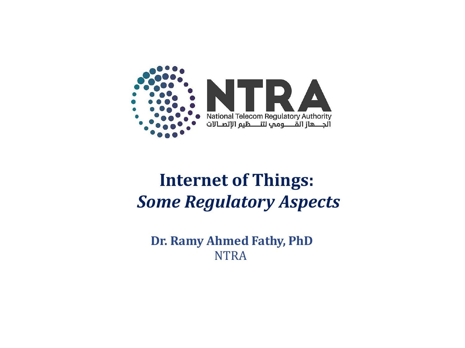

## **Internet of Things:**  *Some Regulatory Aspects*

**Dr. Ramy Ahmed Fathy, PhD NTRA**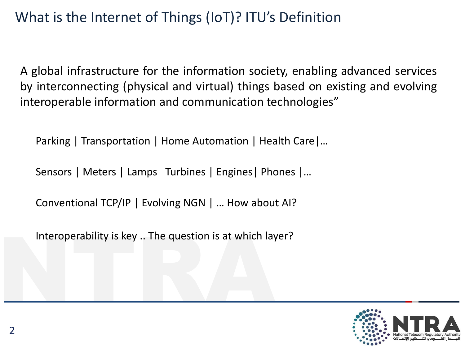## What is the Internet of Things (IoT)? ITU's Definition

A global infrastructure for the information society, enabling advanced services by interconnecting (physical and virtual) things based on existing and evolving interoperable information and communication technologies"

Parking | Transportation | Home Automation | Health Care|…

Sensors | Meters | Lamps Turbines | Engines| Phones |…

Conventional TCP/IP | Evolving NGN | … How about AI?

Interoperability is key .. The question is at which lay<br>
The question is at which lay<br>
The question is at which lay<br>
The question is at which lay<br>
The question is at which lay<br>
The question is at which lay Interoperability is key .. The question is at which layer?

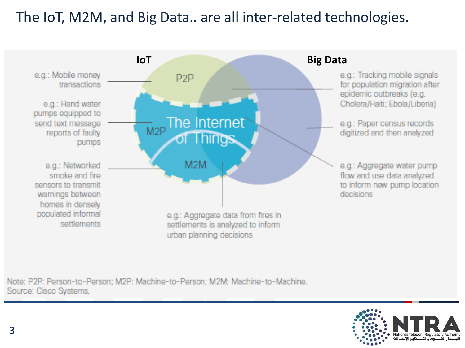### The IoT, M2M, and Big Data.. are all inter-related technologies.



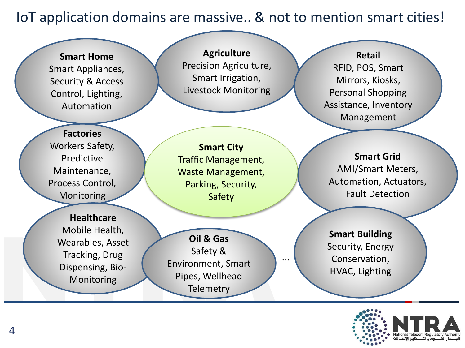IoT application domains are massive.. & not to mention smart cities!

**Smart Home** Smart Appliances, Security & Access Control, Lighting, Automation

**Agriculture** Precision Agriculture, Smart Irrigation, Livestock Monitoring

RFID, POS, Smart Mirrors, Kiosks, Personal Shopping Assistance, Inventory Management

**Retail**

**Factories** Workers Safety, Predictive Maintenance, Process Control, **Monitoring** 

> **Healthcare** Mobile Health, Wearables, Asset Tracking, Drug Dispensing, Bio-Monitoring

**Smart City** Traffic Management, Waste Management, Parking, Security, Safety

Mobile Health,<br>
Wearables, Asset<br>
Tracking, Drug<br>
Dispensing, Bio-<br>
Monitoring<br>
Pipes, Wellhead<br>
Telemetry **Oil & Gas** Safety & Environment, Smart Pipes, Wellhead **Telemetry** 

**Smart Grid** AMI/Smart Meters, Automation, Actuators, Fault Detection

**Smart Building** Security, Energy Conservation, HVAC, Lighting

…

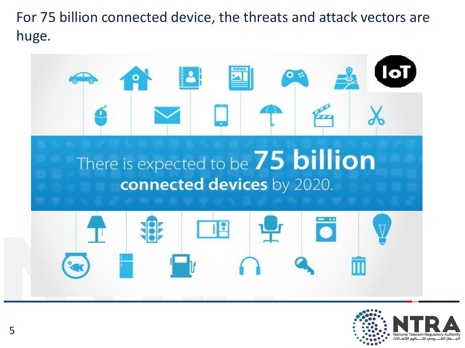For 75 billion connected device, the threats and attack vectors are huge.



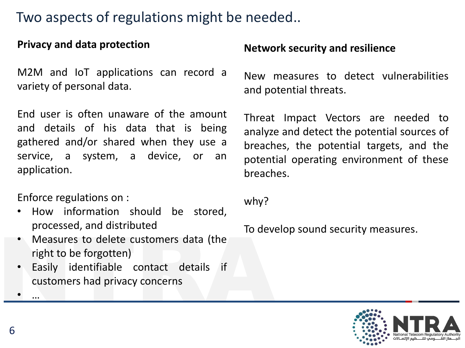#### Two aspects of regulations might be needed..

#### **Privacy and data protection**

M2M and IoT applications can record a variety of personal data.

End user is often unaware of the amount and details of his data that is being gathered and/or shared when they use a service, a system, a device, or an application.

Enforce regulations on :

- How information should be stored, processed, and distributed
- Measures to delete customers data (the right to be forgotten)
- Measures to delete customers data (the<br>right to be forgotten)<br>• Easily identifiable contact details if<br>customers had privacy concerns<br>• ... • Easily identifiable contact details if customers had privacy concerns

#### **Network security and resilience**

New measures to detect vulnerabilities and potential threats.

Threat Impact Vectors are needed to analyze and detect the potential sources of breaches, the potential targets, and the potential operating environment of these breaches.

why?

To develop sound security measures.



• …